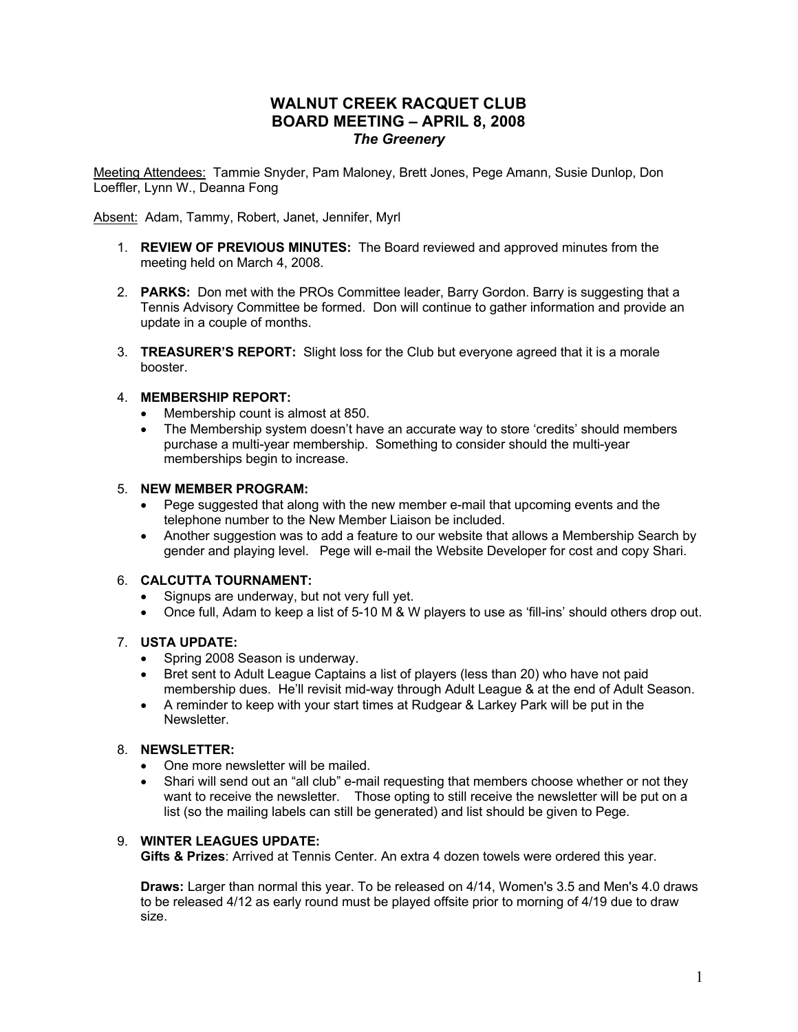# **WALNUT CREEK RACQUET CLUB BOARD MEETING – APRIL 8, 2008** *The Greenery*

Meeting Attendees: Tammie Snyder, Pam Maloney, Brett Jones, Pege Amann, Susie Dunlop, Don Loeffler, Lynn W., Deanna Fong

Absent: Adam, Tammy, Robert, Janet, Jennifer, Myrl

- 1. **REVIEW OF PREVIOUS MINUTES:**The Board reviewed and approved minutes from the meeting held on March 4, 2008.
- 2. **PARKS:** Don met with the PROs Committee leader, Barry Gordon. Barry is suggesting that a Tennis Advisory Committee be formed. Don will continue to gather information and provide an update in a couple of months.
- 3. **TREASURER'S REPORT:** Slight loss for the Club but everyone agreed that it is a morale booster.

## 4. **MEMBERSHIP REPORT:**

- Membership count is almost at 850.
- The Membership system doesn't have an accurate way to store 'credits' should members purchase a multi-year membership. Something to consider should the multi-year memberships begin to increase.

## 5. **NEW MEMBER PROGRAM:**

- Pege suggested that along with the new member e-mail that upcoming events and the telephone number to the New Member Liaison be included.
- Another suggestion was to add a feature to our website that allows a Membership Search by gender and playing level. Pege will e-mail the Website Developer for cost and copy Shari.

## 6. **CALCUTTA TOURNAMENT:**

- Signups are underway, but not very full yet.
- Once full, Adam to keep a list of 5-10 M & W players to use as 'fill-ins' should others drop out.

## 7. **USTA UPDATE:**

- Spring 2008 Season is underway.
- Bret sent to Adult League Captains a list of players (less than 20) who have not paid membership dues. He'll revisit mid-way through Adult League & at the end of Adult Season.
- A reminder to keep with your start times at Rudgear & Larkey Park will be put in the **Newsletter**

## 8. **NEWSLETTER:**

- One more newsletter will be mailed.
- Shari will send out an "all club" e-mail requesting that members choose whether or not they want to receive the newsletter. Those opting to still receive the newsletter will be put on a list (so the mailing labels can still be generated) and list should be given to Pege.

## 9. **WINTER LEAGUES UPDATE:**

**Gifts & Prizes**: Arrived at Tennis Center. An extra 4 dozen towels were ordered this year.

**Draws:** Larger than normal this year. To be released on 4/14, Women's 3.5 and Men's 4.0 draws to be released 4/12 as early round must be played offsite prior to morning of 4/19 due to draw size.